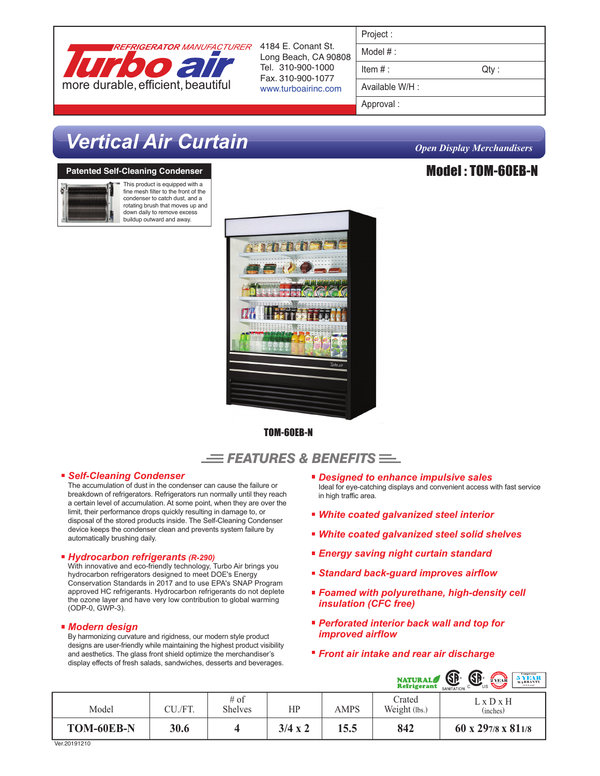

4184 E. Conant St. Long Beach, CA 90808 Tel. 310-900-1000 Fax. 310-900-1077 www.turboairinc.com

| Project :       |       |
|-----------------|-------|
| Model $#:$      |       |
| Item $#$ :      | Qty : |
| Available W/H : |       |

Model : TOM-60EB-N

Approval :

# *Vertical Air Curtain Open Display Merchandisers*

## **Patented Self-Cleaning Condenser**



This product is equipped with a fine mesh filter to the front of the condenser to catch dust, and a rotating brush that moves up and down daily to remove excess buildup outward and away.



TOM-60EB-N

# $\equiv$  Features & Benefits  $\equiv$

### *Self-Cleaning Condenser*

The accumulation of dust in the condenser can cause the failure or breakdown of refrigerators. Refrigerators run normally until they reach a certain level of accumulation. At some point, when they are over the limit, their performance drops quickly resulting in damage to, or disposal of the stored products inside. The Self-Cleaning Condenser device keeps the condenser clean and prevents system failure by automatically brushing daily.

### *Hydrocarbon refrigerants (R-290)*

With innovative and eco-friendly technology, Turbo Air brings you hydrocarbon refrigerators designed to meet DOE's Energy Conservation Standards in 2017 and to use EPA's SNAP Program approved HC refrigerants. Hydrocarbon refrigerants do not deplete the ozone layer and have very low contribution to global warming (ODP-0, GWP-3).

# *Modern design*

By harmonizing curvature and rigidness, our modern style product designs are user-friendly while maintaining the highest product visibility and aesthetics. The glass front shield optimize the merchandiser's display effects of fresh salads, sandwiches, desserts and beverages.

- *Designed to enhance impulsive sales* Ideal for eye-catching displays and convenient access with fast service in high traffic area.
- *White coated galvanized steel interior*
- *White coated galvanized steel solid shelves*
- *Energy saving night curtain standard*
- *Standard back-guard improves airflow*
- *Foamed with polyurethane, high-density cell insulation (CFC free)*
- *Perforated interior back wall and top for improved airflow*
- *Front air intake and rear air discharge*

|            |         |                          |                |      | <b>NATURAL</b>          | GP<br>SANITATION<br>$\sum\limits_{\text{WARRANTY}}^{\text{Compression}}$ WARRANTY<br>2 YEAR<br>US. |
|------------|---------|--------------------------|----------------|------|-------------------------|----------------------------------------------------------------------------------------------------|
| Model      | CU./FT. | $#$ of<br><b>Shelves</b> | HP             | AMPS | Crated<br>Weight (lbs.) | $L \times D \times H$<br>(inches)                                                                  |
| TOM-60EB-N | 30.6    |                          | $3/4 \times 2$ | 15.5 | 842                     | 60 x 297/8 x 811/8                                                                                 |

Ver.20191210